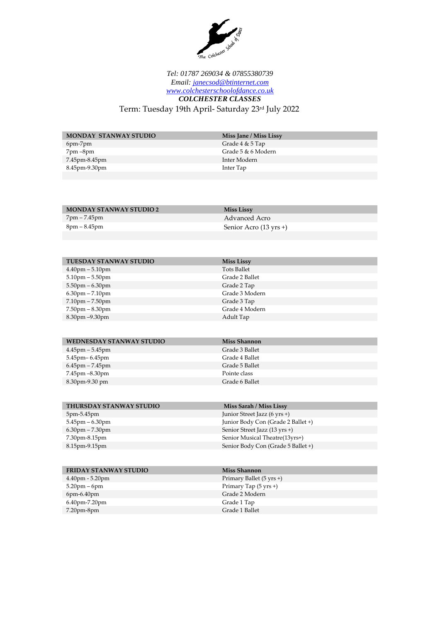

## *Tel: 01787 269034 & 07855380739 Email: [janecsod@btinternet.com](mailto:janecsod@btinternet.com) [www.colchesterschoolofdance.co.uk](http://www.colchesterschoolofdance.co.uk/) COLCHESTER CLASSES* Term: Tuesday 19th April- Saturday 23rd July 2022

**MONDAY STANWAY STUDIO Miss Jane / Miss Lissy** 6pm-7pm **Grade 4 & 5 Tap** 7.45pm-8.45pm Inter Modern 8.45pm-9.30pm Inter Tap

Grade  $4 & 5$  Tap Grade 5 & 6 Modern

| <b>MONDAY STANWAY STUDIO 2</b> | <b>Miss Lissy</b>      |
|--------------------------------|------------------------|
| 7pm – 7.45pm                   | Advanced Acro          |
| 8pm – 8.45pm                   | Senior Acro (13 yrs +) |
|                                |                        |

| <b>TUESDAY STANWAY STUDIO</b> | <b>Miss Lissy</b>  |
|-------------------------------|--------------------|
| $4.40$ pm $-5.10$ pm          | <b>Tots Ballet</b> |
| $5.10$ pm $-5.50$ pm          | Grade 2 Ballet     |
| $5.50$ pm $-6.30$ pm          | Grade 2 Tap        |
| $6.30$ pm $- 7.10$ pm         | Grade 3 Modern     |
| $7.10$ pm $- 7.50$ pm         | Grade 3 Tap        |
| $7.50$ pm $- 8.30$ pm         | Grade 4 Modern     |
| 8.30pm -9.30pm                | Adult Tap          |
|                               |                    |
|                               |                    |

| WEDNESDAY STANWAY STUDIO | Miss Shannon   |
|--------------------------|----------------|
| $4.45$ pm – 5.45pm       | Grade 3 Ballet |
| 5.45pm– 6.45pm           | Grade 4 Ballet |
| $6.45$ pm – 7.45pm       | Grade 5 Ballet |
| 7.45pm -8.30pm           | Pointe class   |
| 8.30pm-9.30 pm           | Grade 6 Ballet |
|                          |                |

| THURSDAY STANWAY STUDIO | Miss Sarah / Miss Lissy            |
|-------------------------|------------------------------------|
| 5pm-5.45pm              | Junior Street Jazz (6 yrs +)       |
| $5.45$ pm $-6.30$ pm    | Junior Body Con (Grade 2 Ballet +) |
| $6.30$ pm $- 7.30$ pm   | Senior Street Jazz (13 yrs +)      |
| 7.30pm-8.15pm           | Senior Musical Theatre(13yrs+)     |
| 8.15pm-9.15pm           | Senior Body Con (Grade 5 Ballet +) |

| <b>FRIDAY STANWAY STUDIO</b>   | Miss Shannon                    |
|--------------------------------|---------------------------------|
| $4.40$ pm - 5.20pm             | Primary Ballet (5 yrs +)        |
| $5.20 \text{pm} - 6 \text{pm}$ | Primary Tap $(5 \text{ yrs +})$ |
| $6$ pm- $6.40$ pm              | Grade 2 Modern                  |
| 6.40pm-7.20pm                  | Grade 1 Tap                     |
| $7.20$ pm- $8$ pm              | Grade 1 Ballet                  |